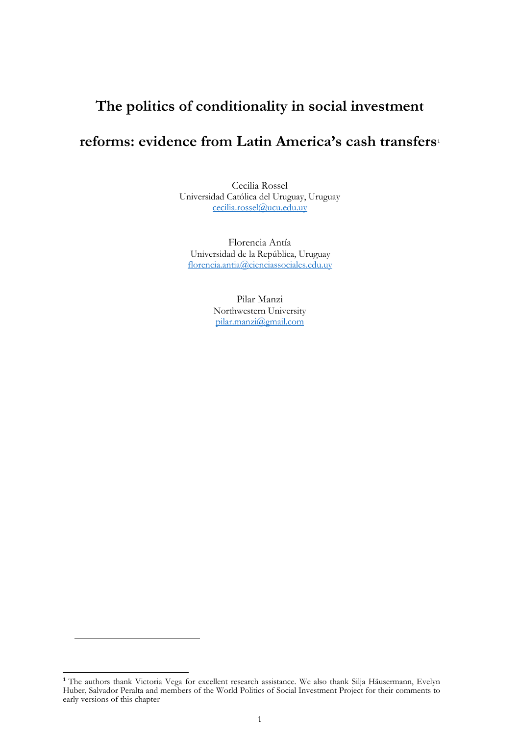# **The politics of conditionality in social investment**

# **reforms: evidence from Latin America's cash transfers**<sup>1</sup>

Cecilia Rossel Universidad Católica del Uruguay, Uruguay [cecilia.rossel@ucu.edu.uy](mailto:cecilia.rossel@ucu.edu.uy)

Florencia Antía Universidad de la República, Uruguay [florencia.antia@cienciassociales.edu.uy](mailto:florencia.antia@cienciassociales.edu.uy)

> Pilar Manzi Northwestern University [pilar.manzi@gmail.com](mailto:pilar.manzi@gmail.com)

<sup>&</sup>lt;sup>1</sup> The authors thank Victoria Vega for excellent research assistance. We also thank Silja Häusermann, Evelyn Huber, Salvador Peralta and members of the World Politics of Social Investment Project for their comments to early versions of this chapter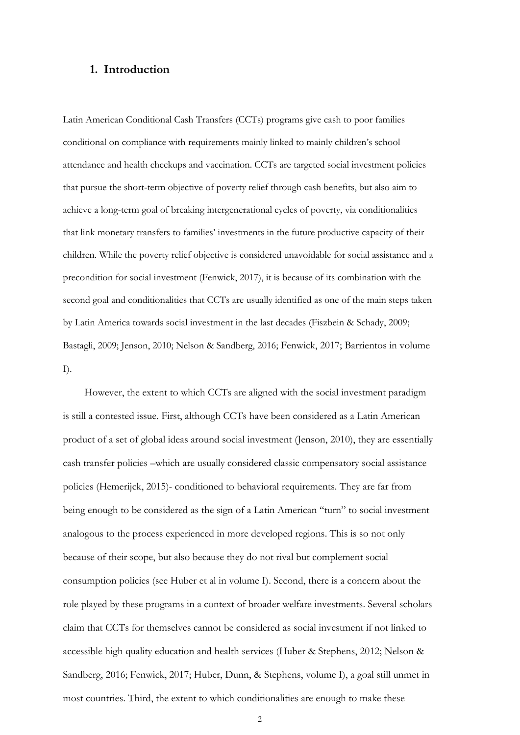# **1. Introduction**

Latin American Conditional Cash Transfers (CCTs) programs give cash to poor families conditional on compliance with requirements mainly linked to mainly children's school attendance and health checkups and vaccination. CCTs are targeted social investment policies that pursue the short-term objective of poverty relief through cash benefits, but also aim to achieve a long-term goal of breaking intergenerational cycles of poverty, via conditionalities that link monetary transfers to families' investments in the future productive capacity of their children. While the poverty relief objective is considered unavoidable for social assistance and a precondition for social investment (Fenwick, 2017), it is because of its combination with the second goal and conditionalities that CCTs are usually identified as one of the main steps taken by Latin America towards social investment in the last decades (Fiszbein & Schady, 2009; Bastagli, 2009; Jenson, 2010; Nelson & Sandberg, 2016; Fenwick, 2017; Barrientos in volume I).

However, the extent to which CCTs are aligned with the social investment paradigm is still a contested issue. First, although CCTs have been considered as a Latin American product of a set of global ideas around social investment (Jenson, 2010), they are essentially cash transfer policies –which are usually considered classic compensatory social assistance policies (Hemerijck, 2015)- conditioned to behavioral requirements. They are far from being enough to be considered as the sign of a Latin American "turn" to social investment analogous to the process experienced in more developed regions. This is so not only because of their scope, but also because they do not rival but complement social consumption policies (see Huber et al in volume I). Second, there is a concern about the role played by these programs in a context of broader welfare investments. Several scholars claim that CCTs for themselves cannot be considered as social investment if not linked to accessible high quality education and health services (Huber & Stephens, 2012; Nelson & Sandberg, 2016; Fenwick, 2017; Huber, Dunn, & Stephens, volume I), a goal still unmet in most countries. Third, the extent to which conditionalities are enough to make these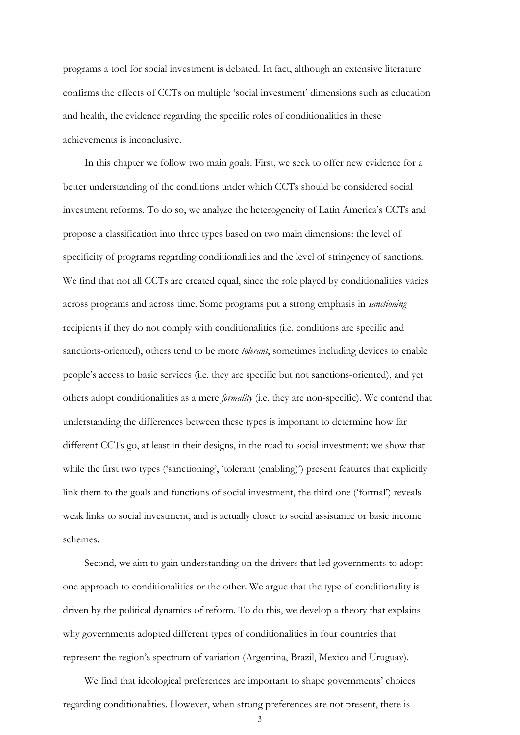programs a tool for social investment is debated. In fact, although an extensive literature confirms the effects of CCTs on multiple 'social investment' dimensions such as education and health, the evidence regarding the specific roles of conditionalities in these achievements is inconclusive.

In this chapter we follow two main goals. First, we seek to offer new evidence for a better understanding of the conditions under which CCTs should be considered social investment reforms. To do so, we analyze the heterogeneity of Latin America's CCTs and propose a classification into three types based on two main dimensions: the level of specificity of programs regarding conditionalities and the level of stringency of sanctions. We find that not all CCTs are created equal, since the role played by conditionalities varies across programs and across time. Some programs put a strong emphasis in *sanctioning* recipients if they do not comply with conditionalities (i.e. conditions are specific and sanctions-oriented), others tend to be more *tolerant*, sometimes including devices to enable people's access to basic services (i.e. they are specific but not sanctions-oriented), and yet others adopt conditionalities as a mere *formality* (i.e. they are non-specific). We contend that understanding the differences between these types is important to determine how far different CCTs go, at least in their designs, in the road to social investment: we show that while the first two types ('sanctioning', 'tolerant (enabling)') present features that explicitly link them to the goals and functions of social investment, the third one ('formal') reveals weak links to social investment, and is actually closer to social assistance or basic income schemes.

Second, we aim to gain understanding on the drivers that led governments to adopt one approach to conditionalities or the other. We argue that the type of conditionality is driven by the political dynamics of reform. To do this, we develop a theory that explains why governments adopted different types of conditionalities in four countries that represent the region's spectrum of variation (Argentina, Brazil, Mexico and Uruguay).

We find that ideological preferences are important to shape governments' choices regarding conditionalities. However, when strong preferences are not present, there is

3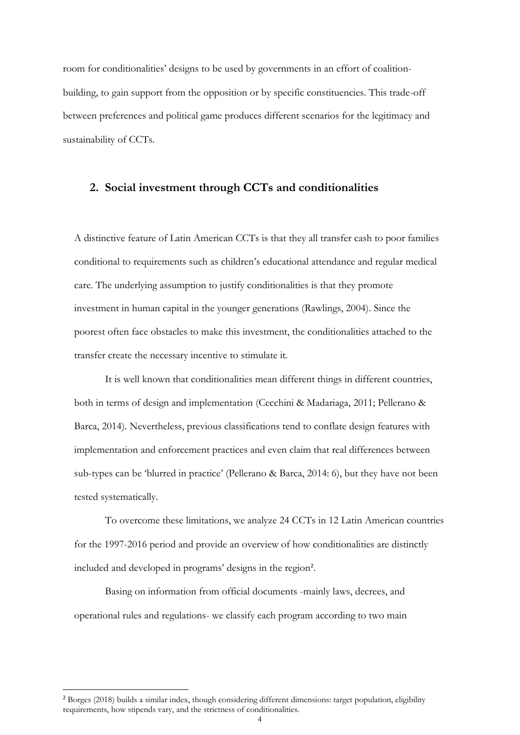room for conditionalities' designs to be used by governments in an effort of coalitionbuilding, to gain support from the opposition or by specific constituencies. This trade-off between preferences and political game produces different scenarios for the legitimacy and sustainability of CCTs.

## **2. Social investment through CCTs and conditionalities**

A distinctive feature of Latin American CCTs is that they all transfer cash to poor families conditional to requirements such as children's educational attendance and regular medical care. The underlying assumption to justify conditionalities is that they promote investment in human capital in the younger generations (Rawlings, 2004). Since the poorest often face obstacles to make this investment, the conditionalities attached to the transfer create the necessary incentive to stimulate it.

It is well known that conditionalities mean different things in different countries, both in terms of design and implementation (Cecchini & Madariaga, 2011; Pellerano & Barca, 2014). Nevertheless, previous classifications tend to conflate design features with implementation and enforcement practices and even claim that real differences between sub-types can be 'blurred in practice' (Pellerano & Barca, 2014: 6), but they have not been tested systematically.

To overcome these limitations, we analyze 24 CCTs in 12 Latin American countries for the 1997-2016 period and provide an overview of how conditionalities are distinctly included and developed in programs' designs in the region<sup>2</sup>.

Basing on information from official documents -mainly laws, decrees, and operational rules and regulations- we classify each program according to two main

<sup>2</sup> Borges (2018) builds a similar index, though considering different dimensions: target population, eligibility requirements, how stipends vary, and the strictness of conditionalities.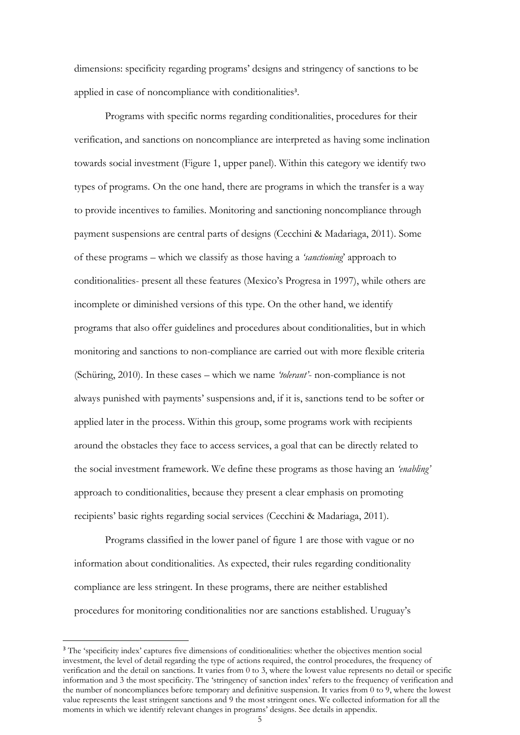dimensions: specificity regarding programs' designs and stringency of sanctions to be applied in case of noncompliance with conditionalities<sup>3</sup>.

Programs with specific norms regarding conditionalities, procedures for their verification, and sanctions on noncompliance are interpreted as having some inclination towards social investment (Figure 1, upper panel). Within this category we identify two types of programs. On the one hand, there are programs in which the transfer is a way to provide incentives to families. Monitoring and sanctioning noncompliance through payment suspensions are central parts of designs (Cecchini & Madariaga, 2011). Some of these programs – which we classify as those having a *'sanctioning*' approach to conditionalities- present all these features (Mexico's Progresa in 1997), while others are incomplete or diminished versions of this type. On the other hand, we identify programs that also offer guidelines and procedures about conditionalities, but in which monitoring and sanctions to non-compliance are carried out with more flexible criteria (Schüring, 2010). In these cases – which we name *'tolerant'*- non-compliance is not always punished with payments' suspensions and, if it is, sanctions tend to be softer or applied later in the process. Within this group, some programs work with recipients around the obstacles they face to access services, a goal that can be directly related to the social investment framework. We define these programs as those having an *'enabling'* approach to conditionalities, because they present a clear emphasis on promoting recipients' basic rights regarding social services (Cecchini & Madariaga, 2011).

Programs classified in the lower panel of figure 1 are those with vague or no information about conditionalities. As expected, their rules regarding conditionality compliance are less stringent. In these programs, there are neither established procedures for monitoring conditionalities nor are sanctions established. Uruguay's

<sup>&</sup>lt;sup>3</sup> The 'specificity index' captures five dimensions of conditionalities: whether the objectives mention social investment, the level of detail regarding the type of actions required, the control procedures, the frequency of verification and the detail on sanctions. It varies from 0 to 3, where the lowest value represents no detail or specific information and 3 the most specificity. The 'stringency of sanction index' refers to the frequency of verification and the number of noncompliances before temporary and definitive suspension. It varies from 0 to 9, where the lowest value represents the least stringent sanctions and 9 the most stringent ones. We collected information for all the moments in which we identify relevant changes in programs' designs. See details in appendix.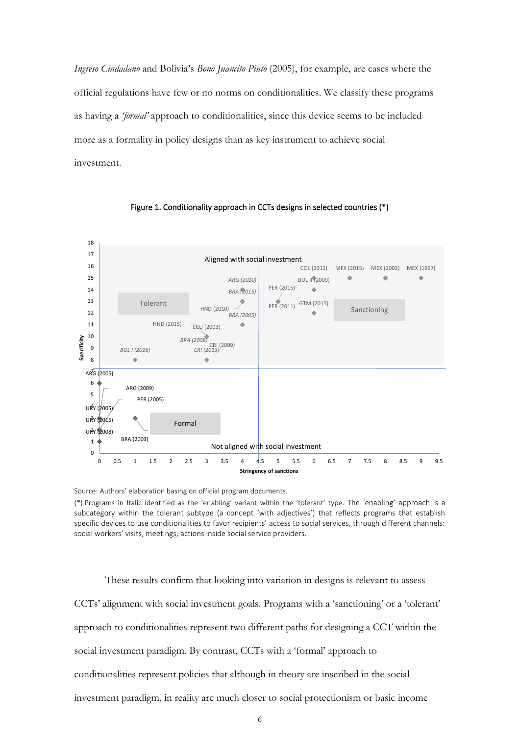*Ingreso Ciudadano* and Bolivia's *Bono Juancito Pinto* (2005), for example, are cases where the official regulations have few or no norms on conditionalities. We classify these programs as having a *'formal'* approach to conditionalities, since this device seems to be included more as a formality in policy designs than as key instrument to achieve social investment.



Figure 1. Conditionality approach in CCTs designs in selected countries (\*)

Source: Authors' elaboration basing on official program documents.

(\*) Programs in Italic identified as the 'enabling' variant within the 'tolerant' type. The 'enabling' approach is a subcategory within the tolerant subtype (a concept 'with adjectives') that reflects programs that establish specific devices to use conditionalities to favor recipients' access to social services, through different channels: social workers' visits, meetings, actions inside social service providers.

These results confirm that looking into variation in designs is relevant to assess CCTs' alignment with social investment goals. Programs with a 'sanctioning' or a 'tolerant' approach to conditionalities represent two different paths for designing a CCT within the social investment paradigm. By contrast, CCTs with a 'formal' approach to conditionalities represent policies that although in theory are inscribed in the social investment paradigm, in reality are much closer to social protectionism or basic income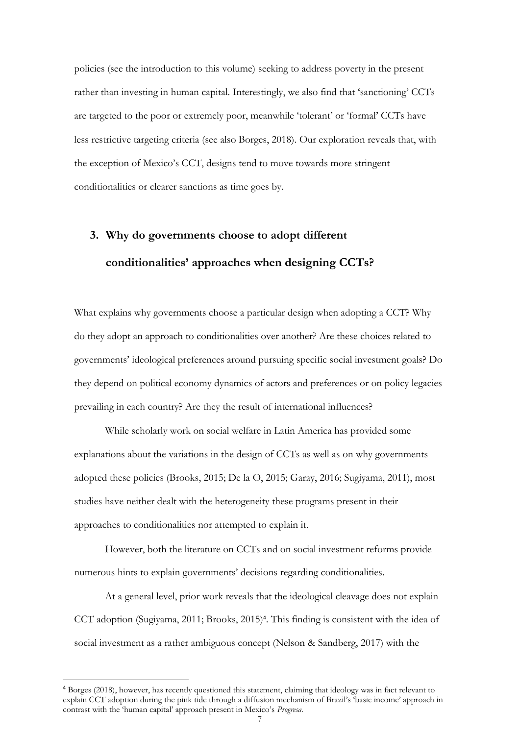policies (see the introduction to this volume) seeking to address poverty in the present rather than investing in human capital. Interestingly, we also find that 'sanctioning' CCTs are targeted to the poor or extremely poor, meanwhile 'tolerant' or 'formal' CCTs have less restrictive targeting criteria (see also Borges, 2018). Our exploration reveals that, with the exception of Mexico's CCT, designs tend to move towards more stringent conditionalities or clearer sanctions as time goes by.

# **3. Why do governments choose to adopt different conditionalities' approaches when designing CCTs?**

What explains why governments choose a particular design when adopting a CCT? Why do they adopt an approach to conditionalities over another? Are these choices related to governments' ideological preferences around pursuing specific social investment goals? Do they depend on political economy dynamics of actors and preferences or on policy legacies prevailing in each country? Are they the result of international influences?

While scholarly work on social welfare in Latin America has provided some explanations about the variations in the design of CCTs as well as on why governments adopted these policies (Brooks, 2015; De la O, 2015; Garay, 2016; Sugiyama, 2011), most studies have neither dealt with the heterogeneity these programs present in their approaches to conditionalities nor attempted to explain it.

However, both the literature on CCTs and on social investment reforms provide numerous hints to explain governments' decisions regarding conditionalities.

At a general level, prior work reveals that the ideological cleavage does not explain CCT adoption (Sugiyama, 2011; Brooks, 2015)<sup>4</sup>. This finding is consistent with the idea of social investment as a rather ambiguous concept (Nelson & Sandberg, 2017) with the

<sup>4</sup> Borges (2018), however, has recently questioned this statement, claiming that ideology was in fact relevant to explain CCT adoption during the pink tide through a diffusion mechanism of Brazil's 'basic income' approach in contrast with the 'human capital' approach present in Mexico's *Progresa.*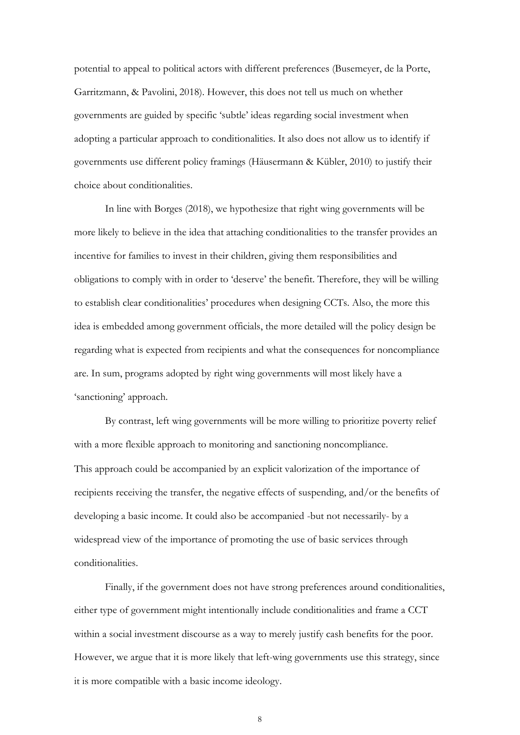potential to appeal to political actors with different preferences (Busemeyer, de la Porte, Garritzmann, & Pavolini, 2018). However, this does not tell us much on whether governments are guided by specific 'subtle' ideas regarding social investment when adopting a particular approach to conditionalities. It also does not allow us to identify if governments use different policy framings (Häusermann & Kübler, 2010) to justify their choice about conditionalities.

In line with Borges (2018), we hypothesize that right wing governments will be more likely to believe in the idea that attaching conditionalities to the transfer provides an incentive for families to invest in their children, giving them responsibilities and obligations to comply with in order to 'deserve' the benefit. Therefore, they will be willing to establish clear conditionalities' procedures when designing CCTs. Also, the more this idea is embedded among government officials, the more detailed will the policy design be regarding what is expected from recipients and what the consequences for noncompliance are. In sum, programs adopted by right wing governments will most likely have a 'sanctioning' approach.

By contrast, left wing governments will be more willing to prioritize poverty relief with a more flexible approach to monitoring and sanctioning noncompliance. This approach could be accompanied by an explicit valorization of the importance of recipients receiving the transfer, the negative effects of suspending, and/or the benefits of developing a basic income. It could also be accompanied -but not necessarily- by a widespread view of the importance of promoting the use of basic services through conditionalities.

Finally, if the government does not have strong preferences around conditionalities, either type of government might intentionally include conditionalities and frame a CCT within a social investment discourse as a way to merely justify cash benefits for the poor. However, we argue that it is more likely that left-wing governments use this strategy, since it is more compatible with a basic income ideology.

8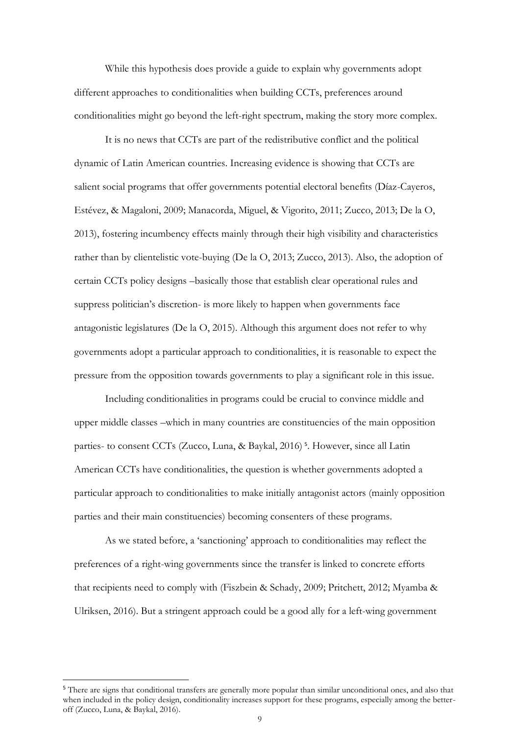While this hypothesis does provide a guide to explain why governments adopt different approaches to conditionalities when building CCTs, preferences around conditionalities might go beyond the left-right spectrum, making the story more complex.

It is no news that CCTs are part of the redistributive conflict and the political dynamic of Latin American countries. Increasing evidence is showing that CCTs are salient social programs that offer governments potential electoral benefits (Díaz-Cayeros, Estévez, & Magaloni, 2009; Manacorda, Miguel, & Vigorito, 2011; Zucco, 2013; De la O, 2013), fostering incumbency effects mainly through their high visibility and characteristics rather than by clientelistic vote-buying (De la O, 2013; Zucco, 2013). Also, the adoption of certain CCTs policy designs –basically those that establish clear operational rules and suppress politician's discretion- is more likely to happen when governments face antagonistic legislatures (De la  $O$ , 2015). Although this argument does not refer to why governments adopt a particular approach to conditionalities, it is reasonable to expect the pressure from the opposition towards governments to play a significant role in this issue.

Including conditionalities in programs could be crucial to convince middle and upper middle classes –which in many countries are constituencies of the main opposition parties- to consent CCTs (Zucco, Luna, & Baykal, 2016)<sup>5</sup>. However, since all Latin American CCTs have conditionalities, the question is whether governments adopted a particular approach to conditionalities to make initially antagonist actors (mainly opposition parties and their main constituencies) becoming consenters of these programs.

As we stated before, a 'sanctioning' approach to conditionalities may reflect the preferences of a right-wing governments since the transfer is linked to concrete efforts that recipients need to comply with (Fiszbein & Schady, 2009; Pritchett, 2012; Myamba & Ulriksen, 2016). But a stringent approach could be a good ally for a left-wing government

<sup>&</sup>lt;sup>5</sup> There are signs that conditional transfers are generally more popular than similar unconditional ones, and also that when included in the policy design, conditionality increases support for these programs, especially among the betteroff (Zucco, Luna, & Baykal, 2016).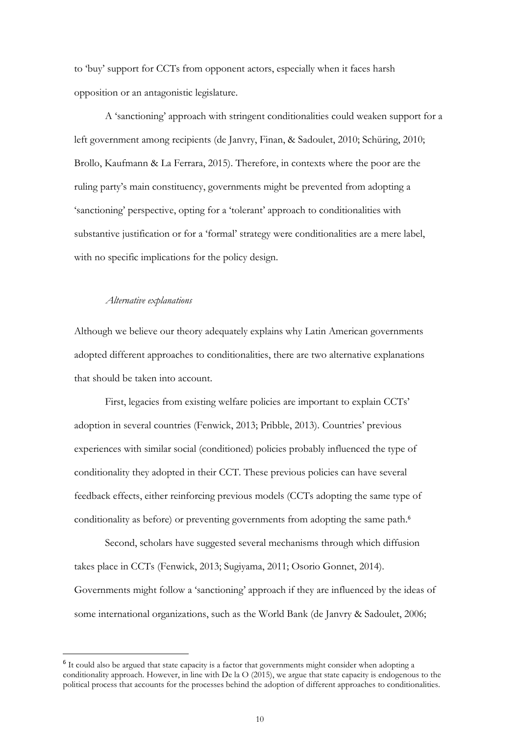to 'buy' support for CCTs from opponent actors, especially when it faces harsh opposition or an antagonistic legislature.

A 'sanctioning' approach with stringent conditionalities could weaken support for a left government among recipients (de Janvry, Finan, & Sadoulet, 2010; Schüring, 2010; Brollo, Kaufmann & La Ferrara, 2015). Therefore, in contexts where the poor are the ruling party's main constituency, governments might be prevented from adopting a 'sanctioning' perspective, opting for a 'tolerant' approach to conditionalities with substantive justification or for a 'formal' strategy were conditionalities are a mere label, with no specific implications for the policy design.

#### *Alternative explanations*

Although we believe our theory adequately explains why Latin American governments adopted different approaches to conditionalities, there are two alternative explanations that should be taken into account.

First, legacies from existing welfare policies are important to explain CCTs' adoption in several countries (Fenwick, 2013; Pribble, 2013). Countries' previous experiences with similar social (conditioned) policies probably influenced the type of conditionality they adopted in their CCT. These previous policies can have several feedback effects, either reinforcing previous models (CCTs adopting the same type of conditionality as before) or preventing governments from adopting the same path.<sup>6</sup>

Second, scholars have suggested several mechanisms through which diffusion takes place in CCTs (Fenwick, 2013; Sugiyama, 2011; Osorio Gonnet, 2014). Governments might follow a 'sanctioning' approach if they are influenced by the ideas of some international organizations, such as the World Bank (de Janvry & Sadoulet, 2006;

<sup>&</sup>lt;sup>6</sup> It could also be argued that state capacity is a factor that governments might consider when adopting a conditionality approach. However, in line with De la O (2015), we argue that state capacity is endogenous to the political process that accounts for the processes behind the adoption of different approaches to conditionalities.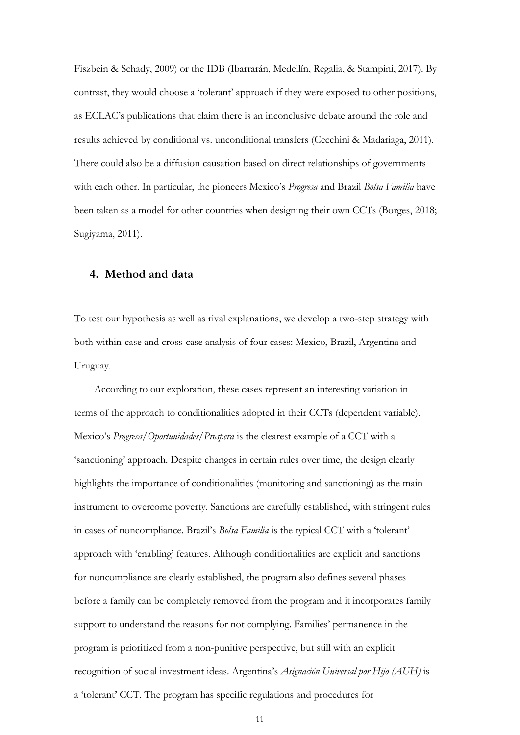Fiszbein & Schady, 2009) or the IDB (Ibarrarán, Medellín, Regalia, & Stampini, 2017). By contrast, they would choose a 'tolerant' approach if they were exposed to other positions, as ECLAC's publications that claim there is an inconclusive debate around the role and results achieved by conditional vs. unconditional transfers (Cecchini & Madariaga, 2011). There could also be a diffusion causation based on direct relationships of governments with each other. In particular, the pioneers Mexico's *Progresa* and Brazil *Bolsa Familia* have been taken as a model for other countries when designing their own CCTs (Borges, 2018; Sugiyama, 2011).

#### **4. Method and data**

To test our hypothesis as well as rival explanations, we develop a two-step strategy with both within-case and cross-case analysis of four cases: Mexico, Brazil, Argentina and Uruguay.

According to our exploration, these cases represent an interesting variation in terms of the approach to conditionalities adopted in their CCTs (dependent variable). Mexico's *Progresa/Oportunidades/Prospera* is the clearest example of a CCT with a 'sanctioning' approach. Despite changes in certain rules over time, the design clearly highlights the importance of conditionalities (monitoring and sanctioning) as the main instrument to overcome poverty. Sanctions are carefully established, with stringent rules in cases of noncompliance. Brazil's *Bolsa Familia* is the typical CCT with a 'tolerant' approach with 'enabling' features. Although conditionalities are explicit and sanctions for noncompliance are clearly established, the program also defines several phases before a family can be completely removed from the program and it incorporates family support to understand the reasons for not complying. Families' permanence in the program is prioritized from a non-punitive perspective, but still with an explicit recognition of social investment ideas. Argentina's *Asignación Universal por Hijo (AUH)* is a 'tolerant' CCT. The program has specific regulations and procedures for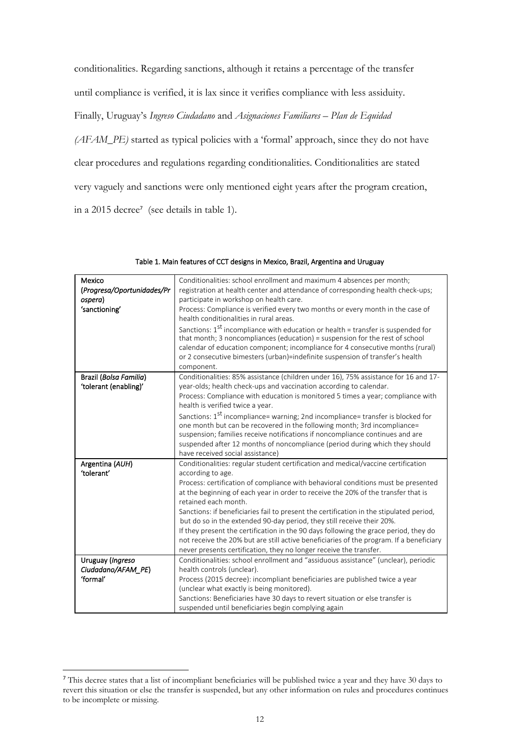conditionalities. Regarding sanctions, although it retains a percentage of the transfer

until compliance is verified, it is lax since it verifies compliance with less assiduity.

Finally, Uruguay's *Ingreso Ciudadano* and *Asignaciones Familiares – Plan de Equidad* 

*(AFAM\_PE)* started as typical policies with a 'formal' approach, since they do not have clear procedures and regulations regarding conditionalities. Conditionalities are stated very vaguely and sanctions were only mentioned eight years after the program creation, in a 2015 decree<sup>7</sup> (see details in table 1).

| Mexico                     | Conditionalities: school enrollment and maximum 4 absences per month;                                               |
|----------------------------|---------------------------------------------------------------------------------------------------------------------|
| (Progresa/Oportunidades/Pr | registration at health center and attendance of corresponding health check-ups;                                     |
| ospera)                    | participate in workshop on health care.                                                                             |
| 'sanctioning'              | Process: Compliance is verified every two months or every month in the case of                                      |
|                            | health conditionalities in rural areas.                                                                             |
|                            | Sanctions: 1 <sup>st</sup> incompliance with education or health = transfer is suspended for                        |
|                            | that month; 3 noncompliances (education) = suspension for the rest of school                                        |
|                            | calendar of education component; incompliance for 4 consecutive months (rural)                                      |
|                            | or 2 consecutive bimesters (urban)=indefinite suspension of transfer's health                                       |
|                            | component.                                                                                                          |
| Brazil (Bolsa Familia)     | Conditionalities: 85% assistance (children under 16), 75% assistance for 16 and 17-                                 |
| 'tolerant (enabling)'      | year-olds; health check-ups and vaccination according to calendar.                                                  |
|                            | Process: Compliance with education is monitored 5 times a year; compliance with<br>health is verified twice a year. |
|                            | Sanctions: 1 <sup>st</sup> incompliance= warning; 2nd incompliance= transfer is blocked for                         |
|                            | one month but can be recovered in the following month; 3rd incompliance=                                            |
|                            | suspension; families receive notifications if noncompliance continues and are                                       |
|                            | suspended after 12 months of noncompliance (period during which they should                                         |
|                            | have received social assistance)                                                                                    |
| Argentina (AUH)            | Conditionalities: regular student certification and medical/vaccine certification                                   |
| 'tolerant'                 | according to age.                                                                                                   |
|                            | Process: certification of compliance with behavioral conditions must be presented                                   |
|                            | at the beginning of each year in order to receive the 20% of the transfer that is                                   |
|                            | retained each month.                                                                                                |
|                            | Sanctions: if beneficiaries fail to present the certification in the stipulated period,                             |
|                            | but do so in the extended 90-day period, they still receive their 20%.                                              |
|                            | If they present the certification in the 90 days following the grace period, they do                                |
|                            | not receive the 20% but are still active beneficiaries of the program. If a beneficiary                             |
|                            | never presents certification, they no longer receive the transfer.                                                  |
| Uruguay (Ingreso           | Conditionalities: school enrollment and "assiduous assistance" (unclear), periodic                                  |
| Ciudadano/AFAM_PE)         | health controls (unclear).                                                                                          |
| 'formal'                   | Process (2015 decree): incompliant beneficiaries are published twice a year                                         |
|                            | (unclear what exactly is being monitored).                                                                          |
|                            | Sanctions: Beneficiaries have 30 days to revert situation or else transfer is                                       |
|                            | suspended until beneficiaries begin complying again                                                                 |

Table 1. Main features of CCT designs in Mexico, Brazil, Argentina and Uruguay

<sup>&</sup>lt;sup>7</sup> This decree states that a list of incompliant beneficiaries will be published twice a year and they have 30 days to revert this situation or else the transfer is suspended, but any other information on rules and procedures continues to be incomplete or missing.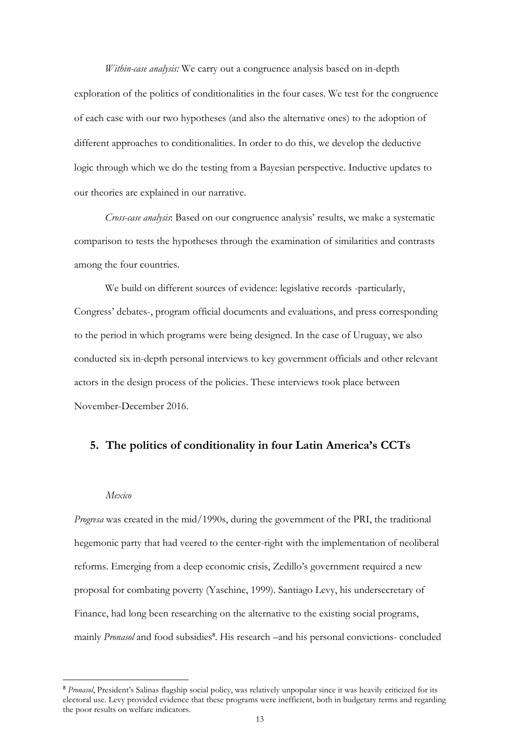*Within-case analysis:* We carry out a congruence analysis based on in-depth exploration of the politics of conditionalities in the four cases. We test for the congruence of each case with our two hypotheses (and also the alternative ones) to the adoption of different approaches to conditionalities. In order to do this, we develop the deductive logic through which we do the testing from a Bayesian perspective. Inductive updates to our theories are explained in our narrative.

*Cross-case analysis*: Based on our congruence analysis' results, we make a systematic comparison to tests the hypotheses through the examination of similarities and contrasts among the four countries.

We build on different sources of evidence: legislative records -particularly, Congress' debates-, program official documents and evaluations, and press corresponding to the period in which programs were being designed. In the case of Uruguay, we also conducted six in-depth personal interviews to key government officials and other relevant actors in the design process of the policies. These interviews took place between November-December 2016.

# **5. The politics of conditionality in four Latin America's CCTs**

#### *Mexico*

*Progresa* was created in the mid/1990s, during the government of the PRI, the traditional hegemonic party that had veered to the center-right with the implementation of neoliberal reforms. Emerging from a deep economic crisis, Zedillo's government required a new proposal for combating poverty (Yaschine, 1999). Santiago Levy, his undersecretary of Finance, had long been researching on the alternative to the existing social programs, mainly Pronasol and food subsidies<sup>8</sup>. His research -and his personal convictions- concluded

<sup>8</sup> *Pronasol*, President's Salinas flagship social policy, was relatively unpopular since it was heavily criticized for its electoral use. Levy provided evidence that these programs were inefficient, both in budgetary terms and regarding the poor results on welfare indicators.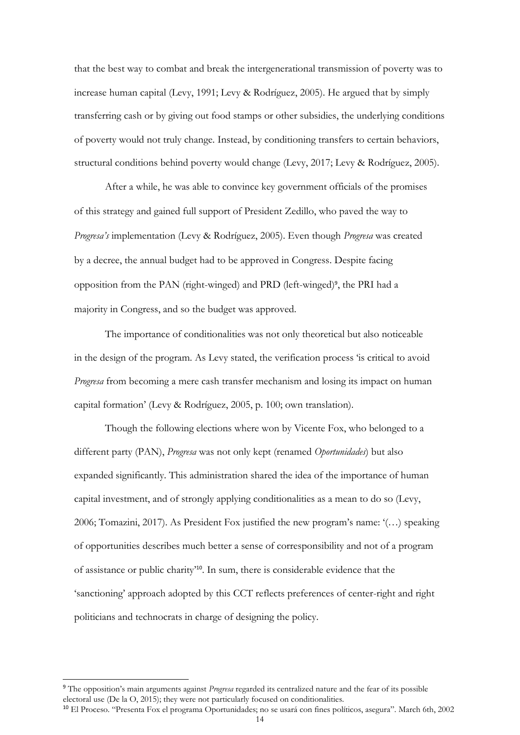that the best way to combat and break the intergenerational transmission of poverty was to increase human capital (Levy, 1991; Levy & Rodríguez, 2005). He argued that by simply transferring cash or by giving out food stamps or other subsidies, the underlying conditions of poverty would not truly change. Instead, by conditioning transfers to certain behaviors, structural conditions behind poverty would change (Levy, 2017; Levy & Rodríguez, 2005).

After a while, he was able to convince key government officials of the promises of this strategy and gained full support of President Zedillo, who paved the way to *Progresa's* implementation (Levy & Rodríguez, 2005). Even though *Progresa* was created by a decree, the annual budget had to be approved in Congress. Despite facing opposition from the PAN (right-winged) and PRD (left-winged)<sup>9</sup> , the PRI had a majority in Congress, and so the budget was approved.

The importance of conditionalities was not only theoretical but also noticeable in the design of the program. As Levy stated, the verification process 'is critical to avoid *Progresa* from becoming a mere cash transfer mechanism and losing its impact on human capital formation' (Levy & Rodríguez, 2005, p. 100; own translation).

Though the following elections where won by Vicente Fox, who belonged to a different party (PAN), *Progresa* was not only kept (renamed *Oportunidades*) but also expanded significantly. This administration shared the idea of the importance of human capital investment, and of strongly applying conditionalities as a mean to do so (Levy, 2006; Tomazini, 2017). As President Fox justified the new program's name: '(…) speaking of opportunities describes much better a sense of corresponsibility and not of a program of assistance or public charity'10. In sum, there is considerable evidence that the 'sanctioning' approach adopted by this CCT reflects preferences of center-right and right politicians and technocrats in charge of designing the policy.

<sup>9</sup> The opposition's main arguments against *Progresa* regarded its centralized nature and the fear of its possible electoral use (De la O, 2015); they were not particularly focused on conditionalities.

<sup>&</sup>lt;sup>10</sup> El Proceso. "Presenta Fox el programa Oportunidades; no se usará con fines políticos, asegura". March 6th, 2002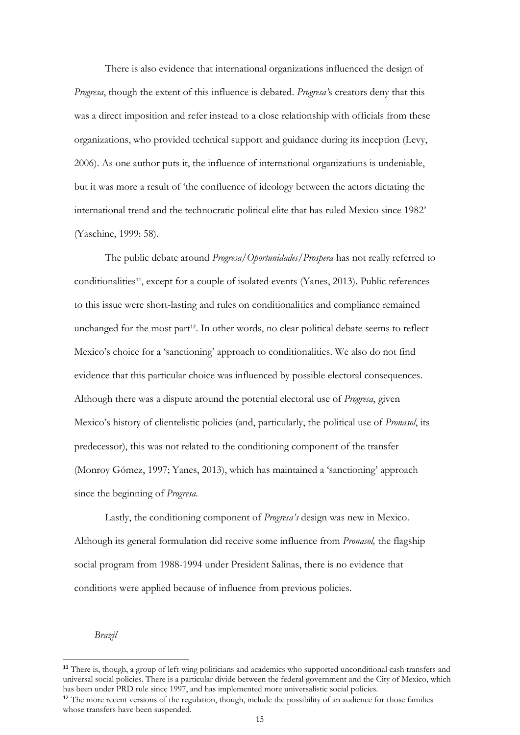There is also evidence that international organizations influenced the design of *Progresa*, though the extent of this influence is debated. *Progresa'*s creators deny that this was a direct imposition and refer instead to a close relationship with officials from these organizations, who provided technical support and guidance during its inception (Levy, 2006). As one author puts it, the influence of international organizations is undeniable, but it was more a result of 'the confluence of ideology between the actors dictating the international trend and the technocratic political elite that has ruled Mexico since 1982' (Yaschine, 1999: 58).

The public debate around *Progresa/Oportunidades/Prospera* has not really referred to conditionalities<sup>11</sup>, except for a couple of isolated events (Yanes, 2013). Public references to this issue were short-lasting and rules on conditionalities and compliance remained unchanged for the most part<sup>12</sup>. In other words, no clear political debate seems to reflect Mexico's choice for a 'sanctioning' approach to conditionalities. We also do not find evidence that this particular choice was influenced by possible electoral consequences. Although there was a dispute around the potential electoral use of *Progresa*, given Mexico's history of clientelistic policies (and, particularly, the political use of *Pronasol*, its predecessor), this was not related to the conditioning component of the transfer (Monroy Gómez, 1997; Yanes, 2013), which has maintained a 'sanctioning' approach since the beginning of *Progresa*.

Lastly, the conditioning component of *Progresa's* design was new in Mexico. Although its general formulation did receive some influence from *Pronasol,* the flagship social program from 1988-1994 under President Salinas, there is no evidence that conditions were applied because of influence from previous policies.

*Brazil*

whose transfers have been suspended.

<sup>&</sup>lt;sup>11</sup> There is, though, a group of left-wing politicians and academics who supported unconditional cash transfers and universal social policies. There is a particular divide between the federal government and the City of Mexico, which has been under PRD rule since 1997, and has implemented more universalistic social policies. <sup>12</sup> The more recent versions of the regulation, though, include the possibility of an audience for those families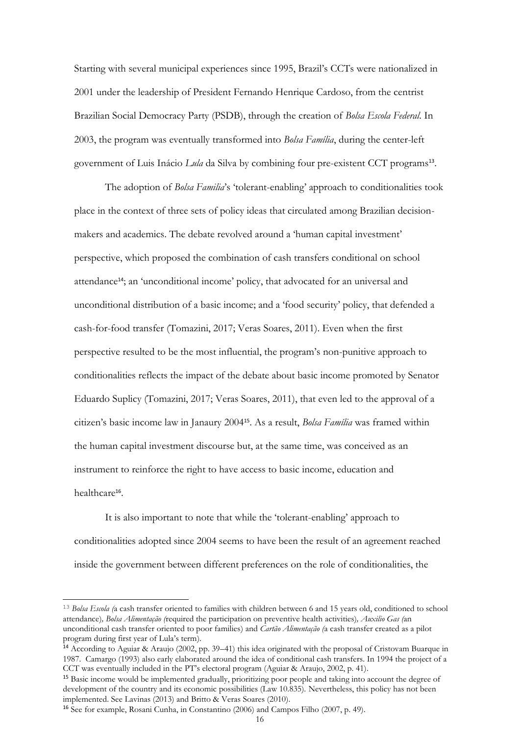Starting with several municipal experiences since 1995, Brazil's CCTs were nationalized in 2001 under the leadership of President Fernando Henrique Cardoso, from the centrist Brazilian Social Democracy Party (PSDB), through the creation of *Bolsa Escola Federal*. In 2003, the program was eventually transformed into *Bolsa Família*, during the center-left government of Luis Inácio *Lula* da Silva by combining four pre-existent CCT programs<sup>13</sup>.

The adoption of *Bolsa Familia*'s 'tolerant-enabling' approach to conditionalities took place in the context of three sets of policy ideas that circulated among Brazilian decisionmakers and academics. The debate revolved around a 'human capital investment' perspective, which proposed the combination of cash transfers conditional on school attendance14; an 'unconditional income' policy, that advocated for an universal and unconditional distribution of a basic income; and a 'food security' policy, that defended a cash-for-food transfer (Tomazini, 2017; Veras Soares, 2011). Even when the first perspective resulted to be the most influential, the program's non-punitive approach to conditionalities reflects the impact of the debate about basic income promoted by Senator Eduardo Suplicy (Tomazini, 2017; Veras Soares, 2011), that even led to the approval of a citizen's basic income law in Janaury 200415. As a result, *Bolsa Família* was framed within the human capital investment discourse but, at the same time, was conceived as an instrument to reinforce the right to have access to basic income, education and healthcare<sup>16</sup>.

It is also important to note that while the 'tolerant-enabling' approach to conditionalities adopted since 2004 seems to have been the result of an agreement reached inside the government between different preferences on the role of conditionalities, the

<sup>13</sup> *Bolsa Escola (*a cash transfer oriented to families with children between 6 and 15 years old, conditioned to school attendance)*, Bolsa Alimentação (*required the participation on preventive health activities)*, Auxilio Gas (*an unconditional cash transfer oriented to poor families) and *Cartão Alimentação (*a cash transfer created as a pilot program during first year of Lula's term).

<sup>14</sup> According to Aguiar & Araujo (2002, pp. 39–41) this idea originated with the proposal of Cristovam Buarque in 1987. Camargo (1993) also early elaborated around the idea of conditional cash transfers. In 1994 the project of a CCT was eventually included in the PT's electoral program (Aguiar & Araujo, 2002, p. 41).

<sup>15</sup> Basic income would be implemented gradually, prioritizing poor people and taking into account the degree of development of the country and its economic possibilities (Law 10.835). Nevertheless, this policy has not been implemented. See Lavinas (2013) and Britto & Veras Soares (2010).

<sup>16</sup> See for example, Rosani Cunha, in Constantino (2006) and Campos Filho (2007, p. 49).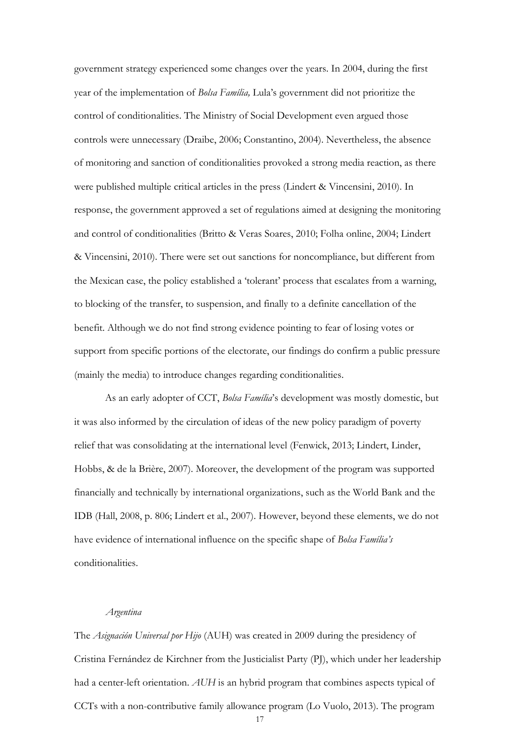government strategy experienced some changes over the years. In 2004, during the first year of the implementation of *Bolsa Família,* Lula's government did not prioritize the control of conditionalities. The Ministry of Social Development even argued those controls were unnecessary (Draibe, 2006; Constantino, 2004). Nevertheless, the absence of monitoring and sanction of conditionalities provoked a strong media reaction, as there were published multiple critical articles in the press (Lindert & Vincensini, 2010). In response, the government approved a set of regulations aimed at designing the monitoring and control of conditionalities (Britto & Veras Soares, 2010; Folha online, 2004; Lindert & Vincensini, 2010). There were set out sanctions for noncompliance, but different from the Mexican case, the policy established a 'tolerant' process that escalates from a warning, to blocking of the transfer, to suspension, and finally to a definite cancellation of the benefit. Although we do not find strong evidence pointing to fear of losing votes or support from specific portions of the electorate, our findings do confirm a public pressure (mainly the media) to introduce changes regarding conditionalities.

As an early adopter of CCT, *Bolsa Família*'s development was mostly domestic, but it was also informed by the circulation of ideas of the new policy paradigm of poverty relief that was consolidating at the international level (Fenwick, 2013; Lindert, Linder, Hobbs, & de la Brière, 2007). Moreover, the development of the program was supported financially and technically by international organizations, such as the World Bank and the IDB (Hall, 2008, p. 806; Lindert et al., 2007). However, beyond these elements, we do not have evidence of international influence on the specific shape of *Bolsa Família's* conditionalities.

#### *Argentina*

The *Asignación Universal por Hijo* (AUH) was created in 2009 during the presidency of Cristina Fernández de Kirchner from the Justicialist Party (PJ), which under her leadership had a center-left orientation. *AUH* is an hybrid program that combines aspects typical of CCTs with a non-contributive family allowance program (Lo Vuolo, 2013). The program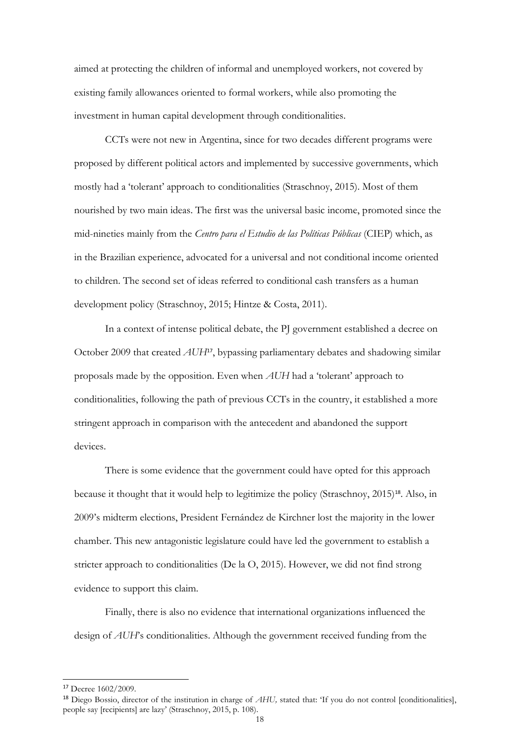aimed at protecting the children of informal and unemployed workers, not covered by existing family allowances oriented to formal workers, while also promoting the investment in human capital development through conditionalities.

CCTs were not new in Argentina, since for two decades different programs were proposed by different political actors and implemented by successive governments, which mostly had a 'tolerant' approach to conditionalities (Straschnoy, 2015). Most of them nourished by two main ideas. The first was the universal basic income, promoted since the mid-nineties mainly from the *Centro para el Estudio de las Políticas Públicas* (CIEP) which, as in the Brazilian experience, advocated for a universal and not conditional income oriented to children. The second set of ideas referred to conditional cash transfers as a human development policy (Straschnoy, 2015; Hintze & Costa, 2011).

In a context of intense political debate, the PJ government established a decree on October 2009 that created *AUH*17, bypassing parliamentary debates and shadowing similar proposals made by the opposition. Even when *AUH* had a 'tolerant' approach to conditionalities, following the path of previous CCTs in the country, it established a more stringent approach in comparison with the antecedent and abandoned the support devices.

There is some evidence that the government could have opted for this approach because it thought that it would help to legitimize the policy (Straschnoy, 2015)<sup>18</sup>. Also, in 2009's midterm elections, President Fernández de Kirchner lost the majority in the lower chamber. This new antagonistic legislature could have led the government to establish a stricter approach to conditionalities (De la O, 2015). However, we did not find strong evidence to support this claim.

Finally, there is also no evidence that international organizations influenced the design of *AUH*'s conditionalities. Although the government received funding from the

<sup>17</sup> Decree 1602/2009.

<sup>&</sup>lt;sup>18</sup> Diego Bossio, director of the institution in charge of *AHU*, stated that: 'If you do not control [conditionalities], people say [recipients] are lazy' (Straschnoy, 2015, p. 108).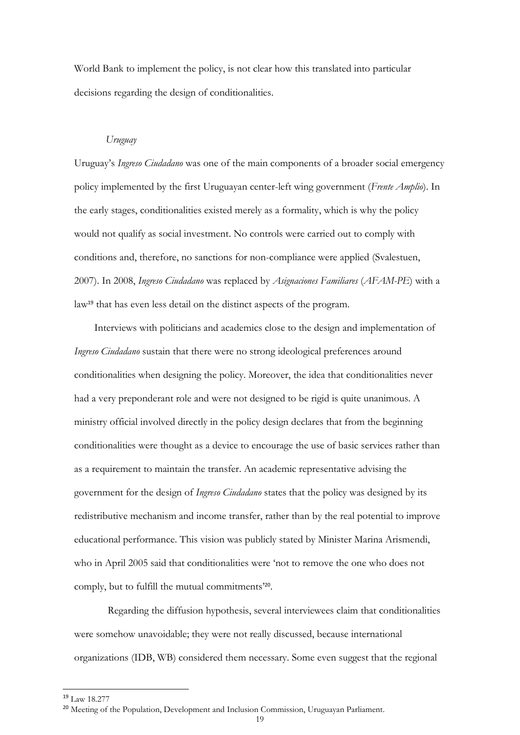World Bank to implement the policy, is not clear how this translated into particular decisions regarding the design of conditionalities.

#### *Uruguay*

Uruguay's *Ingreso Ciudadano* was one of the main components of a broader social emergency policy implemented by the first Uruguayan center-left wing government (*Frente Amplio*). In the early stages, conditionalities existed merely as a formality, which is why the policy would not qualify as social investment. No controls were carried out to comply with conditions and, therefore, no sanctions for non-compliance were applied (Svalestuen, 2007). In 2008, *Ingreso Ciudadano* was replaced by *Asignaciones Familiares* (*AFAM-PE*) with a law<sup>19</sup> that has even less detail on the distinct aspects of the program.

Interviews with politicians and academics close to the design and implementation of *Ingreso Ciudadano* sustain that there were no strong ideological preferences around conditionalities when designing the policy. Moreover, the idea that conditionalities never had a very preponderant role and were not designed to be rigid is quite unanimous. A ministry official involved directly in the policy design declares that from the beginning conditionalities were thought as a device to encourage the use of basic services rather than as a requirement to maintain the transfer. An academic representative advising the government for the design of *Ingreso Ciudadano* states that the policy was designed by its redistributive mechanism and income transfer, rather than by the real potential to improve educational performance. This vision was publicly stated by Minister Marina Arismendi, who in April 2005 said that conditionalities were 'not to remove the one who does not comply, but to fulfill the mutual commitments'20.

Regarding the diffusion hypothesis, several interviewees claim that conditionalities were somehow unavoidable; they were not really discussed, because international organizations (IDB, WB) considered them necessary. Some even suggest that the regional

<sup>19</sup> Law 18.277

<sup>&</sup>lt;sup>20</sup> Meeting of the Population, Development and Inclusion Commission, Uruguayan Parliament.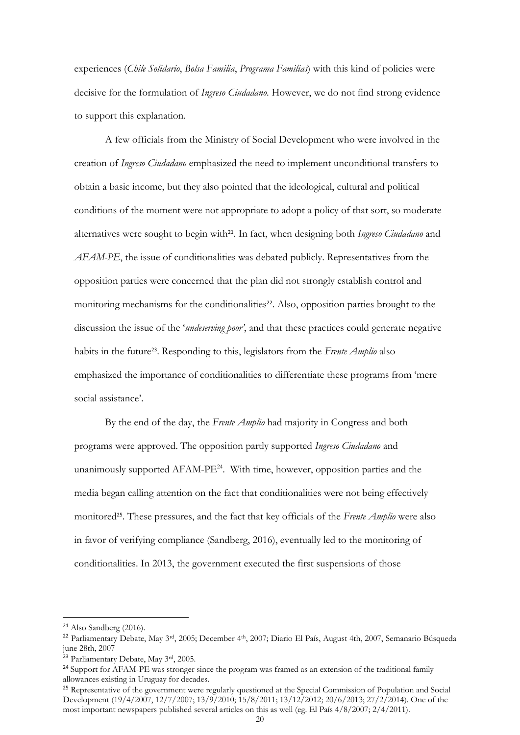experiences (*Chile Solidario*, *Bolsa Familia*, *Programa Familias*) with this kind of policies were decisive for the formulation of *Ingreso Ciudadano*. However, we do not find strong evidence to support this explanation.

A few officials from the Ministry of Social Development who were involved in the creation of *Ingreso Ciudadano* emphasized the need to implement unconditional transfers to obtain a basic income, but they also pointed that the ideological, cultural and political conditions of the moment were not appropriate to adopt a policy of that sort, so moderate alternatives were sought to begin with<sup>21</sup>. In fact, when designing both *Ingreso Ciudadano* and *AFAM-PE*, the issue of conditionalities was debated publicly. Representatives from the opposition parties were concerned that the plan did not strongly establish control and monitoring mechanisms for the conditionalities<sup>22</sup>. Also, opposition parties brought to the discussion the issue of the '*undeserving poor'*, and that these practices could generate negative habits in the future<sup>23</sup>. Responding to this, legislators from the *Frente Amplio* also emphasized the importance of conditionalities to differentiate these programs from 'mere social assistance'.

By the end of the day, the *Frente Amplio* had majority in Congress and both programs were approved. The opposition partly supported *Ingreso Ciudadano* and unanimously supported  $AFAM-PE^{24}$ . With time, however, opposition parties and the media began calling attention on the fact that conditionalities were not being effectively monitored25. These pressures, and the fact that key officials of the *Frente Amplio* were also in favor of verifying compliance (Sandberg, 2016), eventually led to the monitoring of conditionalities. In 2013, the government executed the first suspensions of those

<sup>21</sup> Also Sandberg (2016).

<sup>22</sup> Parliamentary Debate, May 3rd, 2005; December 4th, 2007; Diario El País, August 4th, 2007, Semanario Búsqueda june 28th, 2007

<sup>&</sup>lt;sup>23</sup> Parliamentary Debate, May 3<sup>rd</sup>, 2005.

<sup>&</sup>lt;sup>24</sup> Support for AFAM-PE was stronger since the program was framed as an extension of the traditional family allowances existing in Uruguay for decades.

<sup>&</sup>lt;sup>25</sup> Representative of the government were regularly questioned at the Special Commission of Population and Social Development (19/4/2007, 12/7/2007; 13/9/2010; 15/8/2011; 13/12/2012; 20/6/2013; 27/2/2014). One of the most important newspapers published several articles on this as well (eg. El País 4/8/2007; 2/4/2011).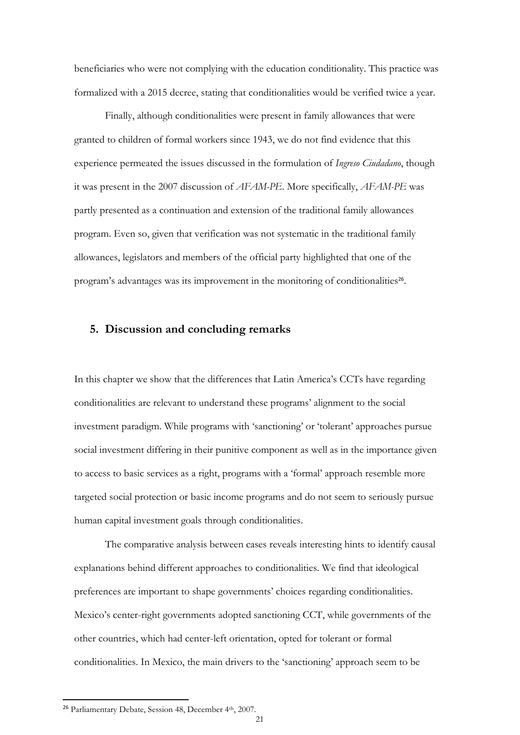beneficiaries who were not complying with the education conditionality. This practice was formalized with a 2015 decree, stating that conditionalities would be verified twice a year.

Finally, although conditionalities were present in family allowances that were granted to children of formal workers since 1943, we do not find evidence that this experience permeated the issues discussed in the formulation of *Ingreso Ciudadano*, though it was present in the 2007 discussion of *AFAM-PE*. More specifically, *AFAM-PE* was partly presented as a continuation and extension of the traditional family allowances program. Even so, given that verification was not systematic in the traditional family allowances, legislators and members of the official party highlighted that one of the program's advantages was its improvement in the monitoring of conditionalities<sup>26</sup>.

## **5. Discussion and concluding remarks**

In this chapter we show that the differences that Latin America's CCTs have regarding conditionalities are relevant to understand these programs' alignment to the social investment paradigm. While programs with 'sanctioning' or 'tolerant' approaches pursue social investment differing in their punitive component as well as in the importance given to access to basic services as a right, programs with a 'formal' approach resemble more targeted social protection or basic income programs and do not seem to seriously pursue human capital investment goals through conditionalities.

The comparative analysis between cases reveals interesting hints to identify causal explanations behind different approaches to conditionalities. We find that ideological preferences are important to shape governments' choices regarding conditionalities. Mexico's center-right governments adopted sanctioning CCT, while governments of the other countries, which had center-left orientation, opted for tolerant or formal conditionalities. In Mexico, the main drivers to the 'sanctioning' approach seem to be

<sup>&</sup>lt;sup>26</sup> Parliamentary Debate, Session 48, December 4<sup>th</sup>, 2007.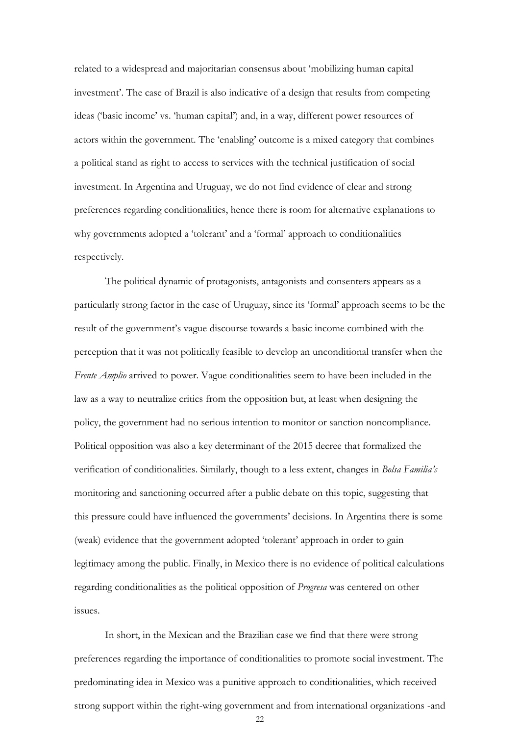related to a widespread and majoritarian consensus about 'mobilizing human capital investment'. The case of Brazil is also indicative of a design that results from competing ideas ('basic income' vs. 'human capital') and, in a way, different power resources of actors within the government. The 'enabling' outcome is a mixed category that combines a political stand as right to access to services with the technical justification of social investment. In Argentina and Uruguay, we do not find evidence of clear and strong preferences regarding conditionalities, hence there is room for alternative explanations to why governments adopted a 'tolerant' and a 'formal' approach to conditionalities respectively.

The political dynamic of protagonists, antagonists and consenters appears as a particularly strong factor in the case of Uruguay, since its 'formal' approach seems to be the result of the government's vague discourse towards a basic income combined with the perception that it was not politically feasible to develop an unconditional transfer when the *Frente Amplio* arrived to power. Vague conditionalities seem to have been included in the law as a way to neutralize critics from the opposition but, at least when designing the policy, the government had no serious intention to monitor or sanction noncompliance. Political opposition was also a key determinant of the 2015 decree that formalized the verification of conditionalities. Similarly, though to a less extent, changes in *Bolsa Familia's* monitoring and sanctioning occurred after a public debate on this topic, suggesting that this pressure could have influenced the governments' decisions. In Argentina there is some (weak) evidence that the government adopted 'tolerant' approach in order to gain legitimacy among the public. Finally, in Mexico there is no evidence of political calculations regarding conditionalities as the political opposition of *Progresa* was centered on other issues.

In short, in the Mexican and the Brazilian case we find that there were strong preferences regarding the importance of conditionalities to promote social investment. The predominating idea in Mexico was a punitive approach to conditionalities, which received strong support within the right-wing government and from international organizations -and

22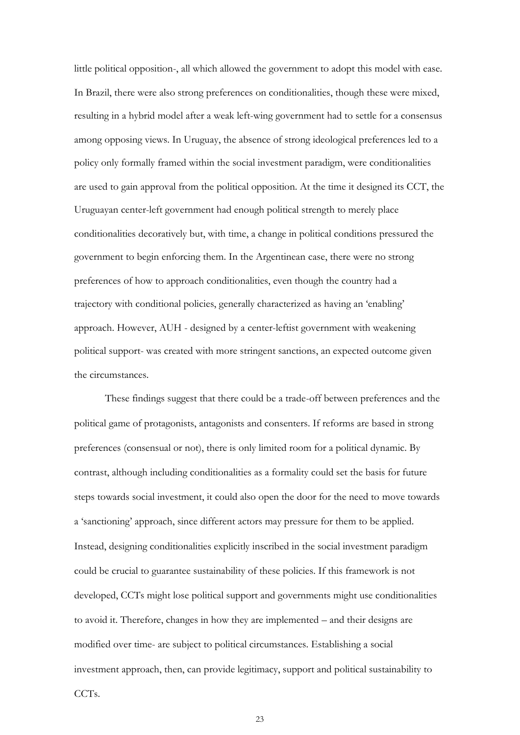little political opposition-, all which allowed the government to adopt this model with ease. In Brazil, there were also strong preferences on conditionalities, though these were mixed, resulting in a hybrid model after a weak left-wing government had to settle for a consensus among opposing views. In Uruguay, the absence of strong ideological preferences led to a policy only formally framed within the social investment paradigm, were conditionalities are used to gain approval from the political opposition. At the time it designed its CCT, the Uruguayan center-left government had enough political strength to merely place conditionalities decoratively but, with time, a change in political conditions pressured the government to begin enforcing them. In the Argentinean case, there were no strong preferences of how to approach conditionalities, even though the country had a trajectory with conditional policies, generally characterized as having an 'enabling' approach. However, AUH - designed by a center-leftist government with weakening political support- was created with more stringent sanctions, an expected outcome given the circumstances.

These findings suggest that there could be a trade-off between preferences and the political game of protagonists, antagonists and consenters. If reforms are based in strong preferences (consensual or not), there is only limited room for a political dynamic. By contrast, although including conditionalities as a formality could set the basis for future steps towards social investment, it could also open the door for the need to move towards a 'sanctioning' approach, since different actors may pressure for them to be applied. Instead, designing conditionalities explicitly inscribed in the social investment paradigm could be crucial to guarantee sustainability of these policies. If this framework is not developed, CCTs might lose political support and governments might use conditionalities to avoid it. Therefore, changes in how they are implemented – and their designs are modified over time- are subject to political circumstances. Establishing a social investment approach, then, can provide legitimacy, support and political sustainability to CCTs.

23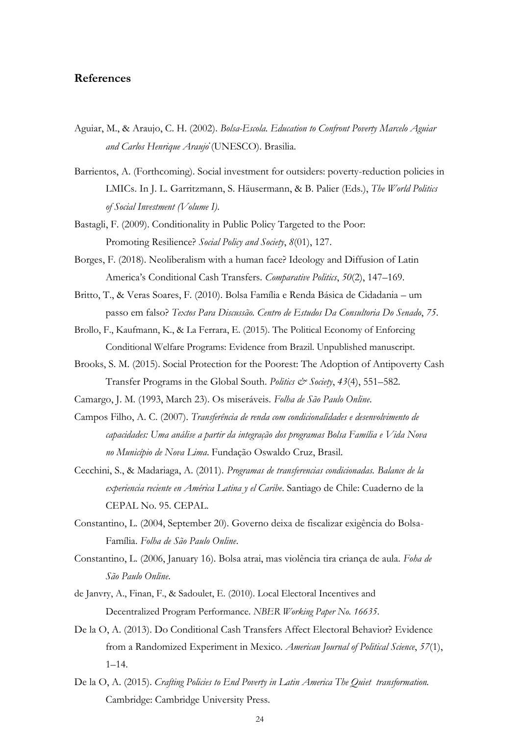#### **References**

- Aguiar, M., & Araujo, C. H. (2002). *Bolsa-Escola. Education to Confront Poverty Marcelo Aguiar and Carlos Henrique Araujȯ*(UNESCO). Brasilia.
- Barrientos, A. (Forthcoming). Social investment for outsiders: poverty-reduction policies in LMICs. In J. L. Garritzmann, S. Häusermann, & B. Palier (Eds.), *The World Politics of Social Investment (Volume I)*.
- Bastagli, F. (2009). Conditionality in Public Policy Targeted to the Poor: Promoting Resilience? *Social Policy and Society*, *8*(01), 127.
- Borges, F. (2018). Neoliberalism with a human face? Ideology and Diffusion of Latin America's Conditional Cash Transfers. *Comparative Politics*, *50*(2), 147–169.
- Britto, T., & Veras Soares, F. (2010). Bolsa Família e Renda Básica de Cidadania um passo em falso? *Textos Para Discussão. Centro de Estudos Da Consultoria Do Senado*, *75*.
- Brollo, F., Kaufmann, K., & La Ferrara, E. (2015). The Political Economy of Enforcing Conditional Welfare Programs: Evidence from Brazil. Unpublished manuscript.
- Brooks, S. M. (2015). Social Protection for the Poorest: The Adoption of Antipoverty Cash Transfer Programs in the Global South. *Politics & Society*, *43*(4), 551–582.
- Camargo, J. M. (1993, March 23). Os miseráveis. *Folha de São Paulo Online*.
- Campos Filho, A. C. (2007). *Transferência de renda com condicionalidades e desenvolvimento de capacidades: Uma análise a partir da integração dos programas Bolsa Família e Vida Nova no Município de Nova Lima*. Fundação Oswaldo Cruz, Brasil.
- Cecchini, S., & Madariaga, A. (2011). *Programas de transferencias condicionadas. Balance de la experiencia reciente en América Latina y el Caribe*. Santiago de Chile: Cuaderno de la CEPAL No. 95. CEPAL.
- Constantino, L. (2004, September 20). Governo deixa de fiscalizar exigência do Bolsa-Família. *Folha de São Paulo Online*.
- Constantino, L. (2006, January 16). Bolsa atrai, mas violência tira criança de aula. *Foha de São Paulo Online*.
- de Janvry, A., Finan, F., & Sadoulet, E. (2010). Local Electoral Incentives and Decentralized Program Performance. *NBER Working Paper No. 16635*.
- De la O, A. (2013). Do Conditional Cash Transfers Affect Electoral Behavior? Evidence from a Randomized Experiment in Mexico. *American Journal of Political Science*, *57*(1),  $1-14.$
- De la O, A. (2015). *Crafting Policies to End Poverty in Latin America The Quiet transformation.* Cambridge: Cambridge University Press.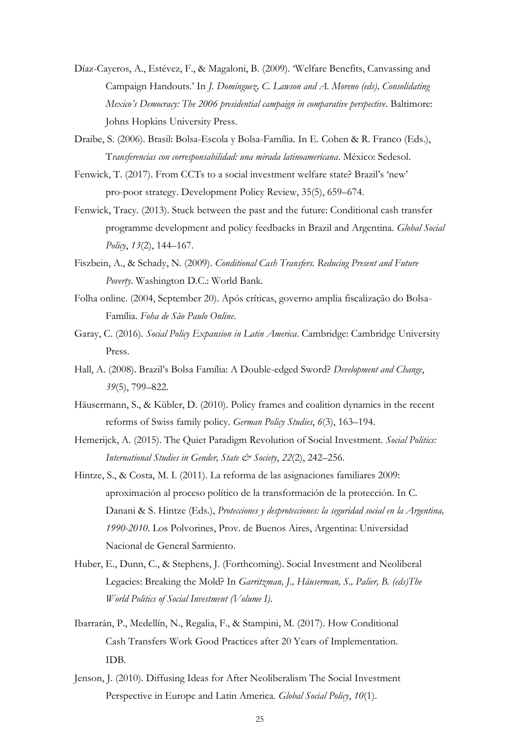- Díaz-Cayeros, A., Estévez, F., & Magaloni, B. (2009). 'Welfare Benefits, Canvassing and Campaign Handouts.' In *J. Domínguez, C. Lawson and A. Moreno (eds), Consolidating Mexico's Democracy: The 2006 presidential campaign in comparative perspective*. Baltimore: Johns Hopkins University Press.
- Draibe, S. (2006). Brasil: Bolsa-Escola y Bolsa-Família. In E. Cohen & R. Franco (Eds.), T*ransferencias con corresponsabilidad: una mirada latinoamericana*. México: Sedesol.
- Fenwick, T. (2017). From CCTs to a social investment welfare state? Brazil's 'new' pro-poor strategy. Development Policy Review, 35(5), 659–674.
- Fenwick, Tracy. (2013). Stuck between the past and the future: Conditional cash transfer programme development and policy feedbacks in Brazil and Argentina. *Global Social Policy*, *13*(2), 144–167.
- Fiszbein, A., & Schady, N. (2009). *Conditional Cash Transfers. Reducing Present and Future Poverty*. Washington D.C.: World Bank.
- Folha online. (2004, September 20). Após críticas, governo amplia fiscalização do Bolsa-Família. *Foha de São Paulo Online*.
- Garay, C. (2016). *Social Policy Expansion in Latin America*. Cambridge: Cambridge University Press.
- Hall, A. (2008). Brazil's Bolsa Família: A Double-edged Sword? *Development and Change*, *39*(5), 799–822.
- Häusermann, S., & Kübler, D. (2010). Policy frames and coalition dynamics in the recent reforms of Swiss family policy. *German Policy Studies*, *6*(3), 163–194.
- Hemerijck, A. (2015). The Quiet Paradigm Revolution of Social Investment. *Social Politics: International Studies in Gender, State & Society*, *22*(2), 242–256.
- Hintze, S., & Costa, M. I. (2011). La reforma de las asignaciones familiares 2009: aproximación al proceso político de la transformación de la protección. In C. Danani & S. Hintze (Eds.), *Protecciones y desprotecciones: la seguridad social en la Argentina, 1990-2010*. Los Polvorines, Prov. de Buenos Aires, Argentina: Universidad Nacional de General Sarmiento.
- Huber, E., Dunn, C., & Stephens, J. (Forthcoming). Social Investment and Neoliberal Legacies: Breaking the Mold? In *Garritzman, J., Häuserman, S., Palier, B. (eds)The World Politics of Social Investment (Volume I)*.
- Ibarrarán, P., Medellín, N., Regalia, F., & Stampini, M. (2017). How Conditional Cash Transfers Work Good Practices after 20 Years of Implementation. IDB.
- Jenson, J. (2010). Diffusing Ideas for After Neoliberalism The Social Investment Perspective in Europe and Latin America. *Global Social Policy*, *10*(1).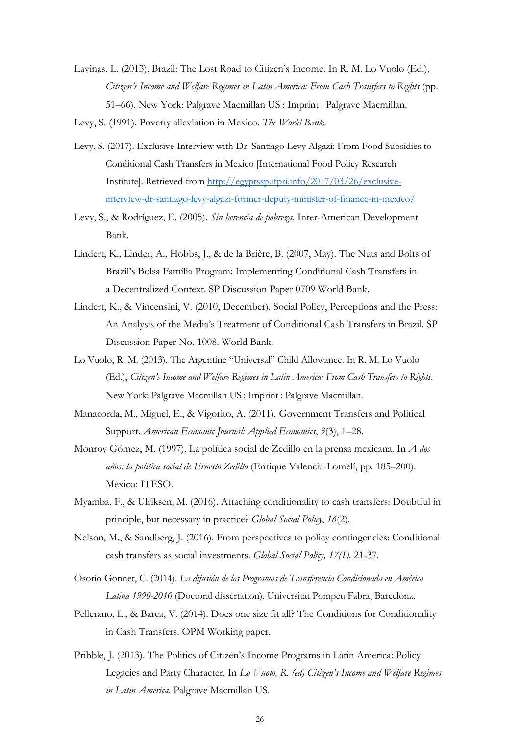Lavinas, L. (2013). Brazil: The Lost Road to Citizen's Income. In R. M. Lo Vuolo (Ed.), *Citizen's Income and Welfare Regimes in Latin America: From Cash Transfers to Rights* (pp. 51–66). New York: Palgrave Macmillan US : Imprint : Palgrave Macmillan.

Levy, S. (1991). Poverty alleviation in Mexico. *The World Bank*.

- Levy, S. (2017). Exclusive Interview with Dr. Santiago Levy Algazi: From Food Subsidies to Conditional Cash Transfers in Mexico [International Food Policy Research Institute]. Retrieved from [http://egyptssp.ifpri.info/2017/03/26/exclusive](http://egyptssp.ifpri.info/2017/03/26/exclusive-interview-dr-santiago-levy-algazi-former-deputy-minister-of-finance-in-mexico/)[interview-dr-santiago-levy-algazi-former-deputy-minister-of-finance-in-mexico/](http://egyptssp.ifpri.info/2017/03/26/exclusive-interview-dr-santiago-levy-algazi-former-deputy-minister-of-finance-in-mexico/)
- Levy, S., & Rodríguez, E. (2005). *Sin herencia de pobreza*. Inter-American Development Bank.
- Lindert, K., Linder, A., Hobbs, J., & de la Brière, B. (2007, May). The Nuts and Bolts of Brazil's Bolsa Família Program: Implementing Conditional Cash Transfers in a Decentralized Context. SP Discussion Paper 0709 World Bank.
- Lindert, K., & Vincensini, V. (2010, December). Social Policy, Perceptions and the Press: An Analysis of the Media's Treatment of Conditional Cash Transfers in Brazil. SP Discussion Paper No. 1008. World Bank.
- Lo Vuolo, R. M. (2013). The Argentine "Universal" Child Allowance. In R. M. Lo Vuolo (Ed.), *Citizen's Income and Welfare Regimes in Latin America: From Cash Transfers to Rights*. New York: Palgrave Macmillan US : Imprint : Palgrave Macmillan.
- Manacorda, M., Miguel, E., & Vigorito, A. (2011). Government Transfers and Political Support. *American Economic Journal: Applied Economics*, *3*(3), 1–28.
- Monroy Gómez, M. (1997). La política social de Zedillo en la prensa mexicana. In *A dos años: la política social de Ernesto Zedillo* (Enrique Valencia-Lomelí, pp. 185–200). Mexico: ITESO.
- Myamba, F., & Ulriksen, M. (2016). Attaching conditionality to cash transfers: Doubtful in principle, but necessary in practice? *Global Social Policy*, *16*(2).
- Nelson, M., & Sandberg, J. (2016). From perspectives to policy contingencies: Conditional cash transfers as social investments. *Global Social Policy, 17(1),* 21-37.
- Osorio Gonnet, C. (2014). *La difusión de los Programas de Transferencia Condicionada en América Latina 1990-2010* (Doctoral dissertation). Universitat Pompeu Fabra, Barcelona.
- Pellerano, L., & Barca, V. (2014). Does one size fit all? The Conditions for Conditionality in Cash Transfers. OPM Working paper.
- Pribble, J. (2013). The Politics of Citizen's Income Programs in Latin America: Policy Legacies and Party Character. In *Lo Vuolo, R. (ed) Citizen's Income and Welfare Regimes in Latin America*. Palgrave Macmillan US.